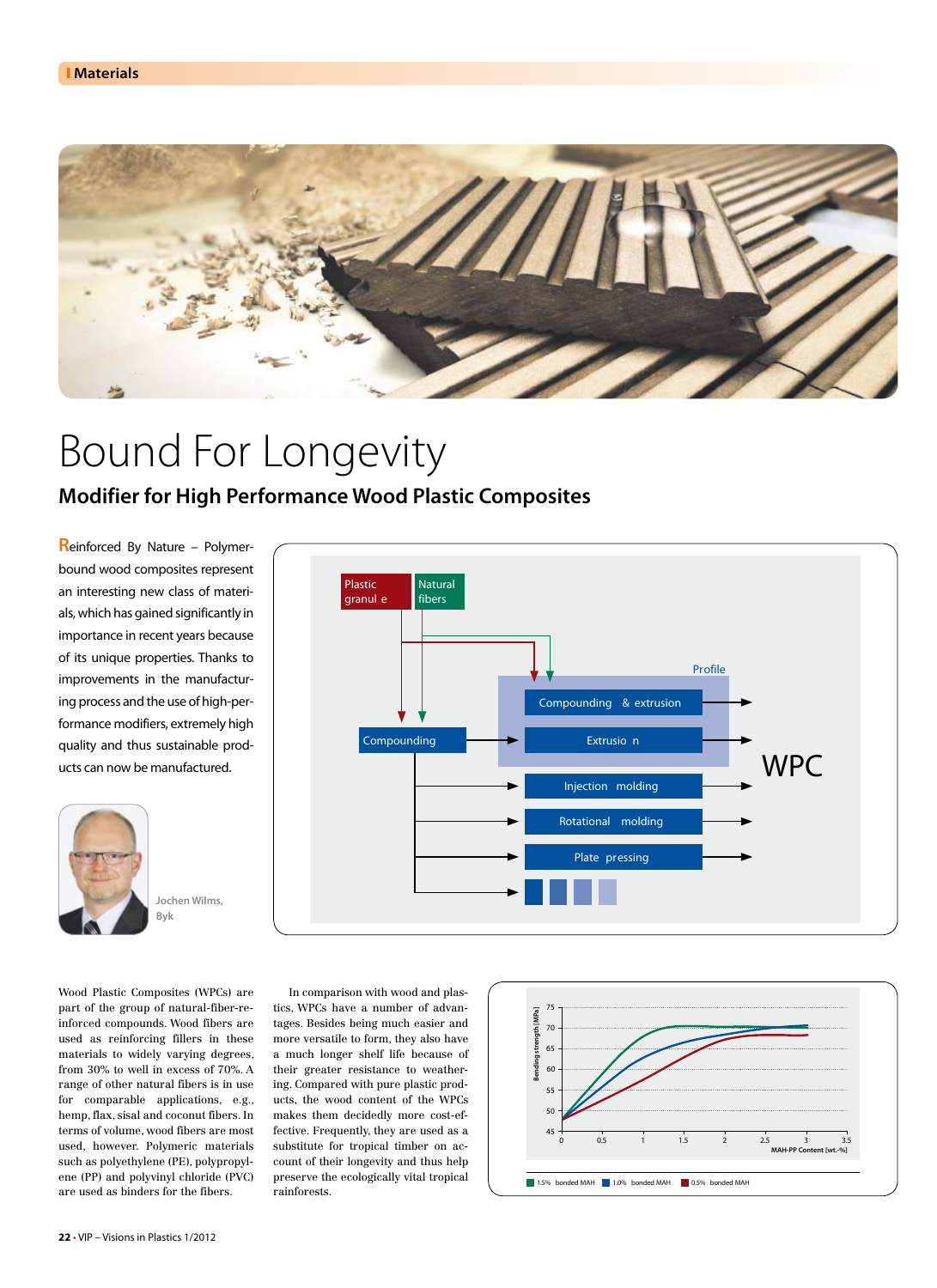

# Bound For Longevity

# **Modifier for High Performance Wood Plastic Composites**

**R**einforced By Nature – Polymerbound wood composites represent an interesting new class of materials, which has gained significantly in importance in recent years because of its unique properties. Thanks to improvements in the manufacturing process and the use of high-performance modifiers, extremely high quality and thus sustainable products can now be manufactured.



**Plastic granul e Natural fibers Compounding Compounding & extrusion Profile WPC Extrusio n Injection molding Rotational molding Plate pressing**

Wood Plastic Composites (WPCs) are part of the group of natural-fiber-reinforced compounds. Wood fibers are used as reinforcing fillers in these materials to widely varying degrees, from 30% to well in excess of 70%. A range of other natural fibers is in use for comparable applications, e.g., hemp, flax, sisal and coconut fibers. In terms of volume, wood fibers are most used, however. Polymeric materials such as polyethylene (PE), polypropylene (PP) and polyvinyl chloride (PVC)

In comparison with wood and plastics, WPCs have a number of advantages. Besides being much easier and more versatile to form, they also have a much longer shelf life because of their greater resistance to weathering. Compared with pure plastic products, the wood content of the WPCs makes them decidedly more cost-effective. Frequently, they are used as a substitute for tropical timber on account of their longevity and thus help preserve the ecologically vital tropical rainforests.



are used as binders for the fibers.